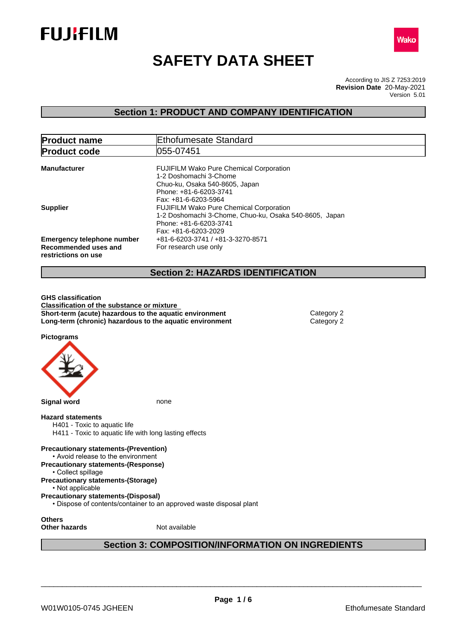



# **SAFETY DATA SHEET**

According to JIS Z 7253:2019 Version 5.01 **Revision Date** 20-May-2021

# **Section 1: PRODUCT AND COMPANY IDENTIFICATION**

| <b>Product name</b>                                                              | Ethofumesate Standard                                                                                                                                                              |
|----------------------------------------------------------------------------------|------------------------------------------------------------------------------------------------------------------------------------------------------------------------------------|
| <b>Product code</b>                                                              | 1055-07451                                                                                                                                                                         |
| <b>Manufacturer</b>                                                              | <b>FUJIFILM Wako Pure Chemical Corporation</b><br>1-2 Doshomachi 3-Chome<br>Chuo-ku, Osaka 540-8605, Japan<br>Phone: +81-6-6203-3741                                               |
| <b>Supplier</b>                                                                  | Fax: +81-6-6203-5964<br><b>FUJIFILM Wako Pure Chemical Corporation</b><br>1-2 Doshomachi 3-Chome, Chuo-ku, Osaka 540-8605, Japan<br>Phone: +81-6-6203-3741<br>Fax: +81-6-6203-2029 |
| <b>Emergency telephone number</b><br>Recommended uses and<br>restrictions on use | +81-6-6203-3741 / +81-3-3270-8571<br>For research use only                                                                                                                         |
|                                                                                  | <b>Section 2: HAZARDS IDENTIFICATION</b>                                                                                                                                           |

**GHS classification Classification of the substance or mixture Short-term (acute) hazardous to the aquatic environment** Category 2 **Long-term (chronic) hazardous to the aquatic environment** Category 2

**Pictograms**



**Section 3: COMPOSITION/INFORMATION ON INGREDIENTS**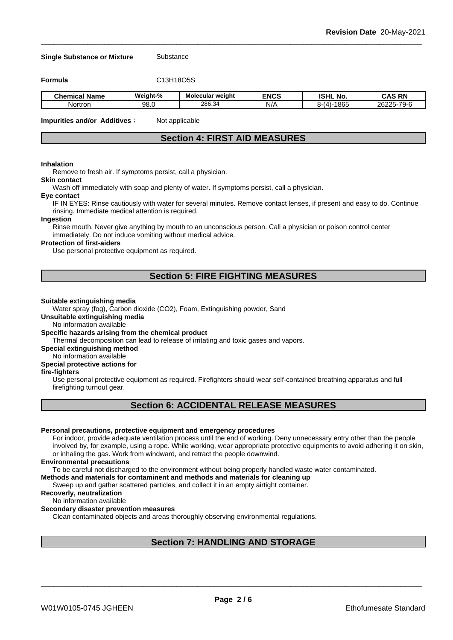**Single Substance or Mixture** Substance

**Formula** C13H18O5S

| .<br>$\sim$<br><b>Chemical Name</b> | Weight-%   | <b>Molecular weight</b> | <b>ENCS</b> | <b>ISHL No.</b> | <b>CAS RN</b>                     |
|-------------------------------------|------------|-------------------------|-------------|-----------------|-----------------------------------|
| Nortron                             | ററ<br>9ຽ.ບ | 286.34                  | NI/<br>NI.  | -1865<br>8-14   | $26225 - 70 - 6$<br>7-79-r<br>-94 |

**Impurities and/or Additives**: Not applicable

# **Section 4: FIRST AID MEASURES**

#### **Inhalation**

Remove to fresh air. If symptoms persist, call a physician.

# **Skin contact**

Wash off immediately with soap and plenty of water. If symptoms persist, calla physician.

#### **Eye contact**

IF IN EYES: Rinse cautiously with water for several minutes. Remove contact lenses, if present and easy to do. Continue rinsing. Immediate medical attention is required.

#### **Ingestion**

Rinse mouth. Never give anything by mouth to an unconscious person. Call a physician or poison control center immediately. Do not induce vomiting without medical advice.

### **Protection of first-aiders**

Use personal protective equipment as required.

# **Section 5: FIRE FIGHTING MEASURES**

#### **Suitable extinguishing media**

Water spray (fog), Carbon dioxide (CO2), Foam, Extinguishing powder, Sand

**Unsuitable extinguishing media**

No information available

## **Specific hazards arising from the chemical product**

Thermal decomposition can lead to release of irritating and toxic gases and vapors.

**Special extinguishing method**

#### No information available

# **Special protective actions for**

# **fire-fighters**

Use personal protective equipment as required.Firefighters should wear self-contained breathing apparatus and full firefighting turnout gear.

# **Section 6: ACCIDENTAL RELEASE MEASURES**

# **Personal precautions, protective equipment and emergency procedures**

For indoor, provide adequate ventilation process until the end of working. Deny unnecessary entry other than the people involved by, for example, using a rope. While working, wear appropriate protective equipments to avoid adhering it on skin, or inhaling the gas. Work from windward, and retract the people downwind.

#### **Environmental precautions**

To be careful not discharged to the environment without being properly handled waste water contaminated.

#### **Methods and materials for contaminent and methods and materials for cleaning up**

Sweep up and gather scattered particles, and collect it in an empty airtight container.

# **Recoverly, neutralization**

#### No information available

#### **Secondary disaster prevention measures**

Clean contaminated objects and areas thoroughly observing environmental regulations.

# **Section 7: HANDLING AND STORAGE**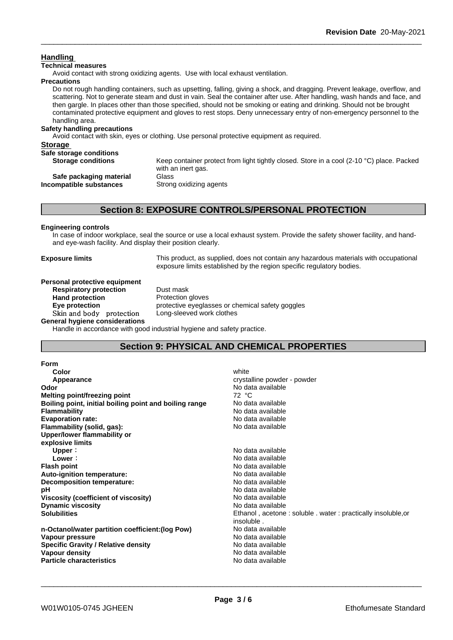# **Handling**

# **Technical measures**

Avoid contact with strong oxidizing agents. Use with local exhaust ventilation.

#### **Precautions**

Do not rough handling containers, such as upsetting, falling, giving a shock, and dragging. Prevent leakage, overflow, and scattering. Not to generate steam and dust in vain. Seal the container after use. After handling, wash hands and face, and then gargle. In places other than those specified, should not be smoking or eating and drinking. Should not be brought contaminated protective equipment and gloves to rest stops. Deny unnecessary entry of non-emergency personnel to the handling area.

# **Safety handling precautions**

Avoid contact with skin, eyes or clothing. Use personal protective equipment as required.

| <b>Storage</b>            |                                                                                                                           |
|---------------------------|---------------------------------------------------------------------------------------------------------------------------|
| Safe storage conditions   |                                                                                                                           |
| <b>Storage conditions</b> | Keep container protect from light tightly closed. Store in a cool (2-10 $^{\circ}$ C) place. Packed<br>with an inert gas. |
| Safe packaging material   | Glass                                                                                                                     |
| Incompatible substances   | Strong oxidizing agents                                                                                                   |

# **Section 8: EXPOSURE CONTROLS/PERSONAL PROTECTION**

# **Engineering controls**

In case of indoor workplace, seal the source or use a local exhaust system. Provide the safety shower facility, and handand eye-wash facility. And display their position clearly.

**Exposure limits** This product, as supplied, does not contain any hazardous materials with occupational exposure limits established by the region specific regulatory bodies.

#### **Personal protective equipment Respiratory protection** Dust mask

**Hand protection** Protection gloves **Eye protection** protective eyeglasses or chemical safety goggles **Skinandbody protection** Long-sleeved work clothes

**General hygiene considerations**

Handle in accordance with good industrial hygiene and safety practice.

# **Section 9: PHYSICAL AND CHEMICAL PROPERTIES**

| white                                                       |
|-------------------------------------------------------------|
| crystalline powder - powder                                 |
| No data available                                           |
| 72 °C                                                       |
| No data available                                           |
| No data available                                           |
| No data available                                           |
| No data available                                           |
|                                                             |
|                                                             |
| No data available                                           |
| No data available                                           |
| No data available                                           |
| No data available                                           |
| No data available                                           |
| No data available                                           |
| No data available                                           |
| No data available                                           |
| Ethanol, acetone: soluble. water: practically insoluble, or |
| insoluble.                                                  |
| No data available                                           |
| No data available                                           |
| No data available                                           |
| No data available                                           |
| No data available                                           |
|                                                             |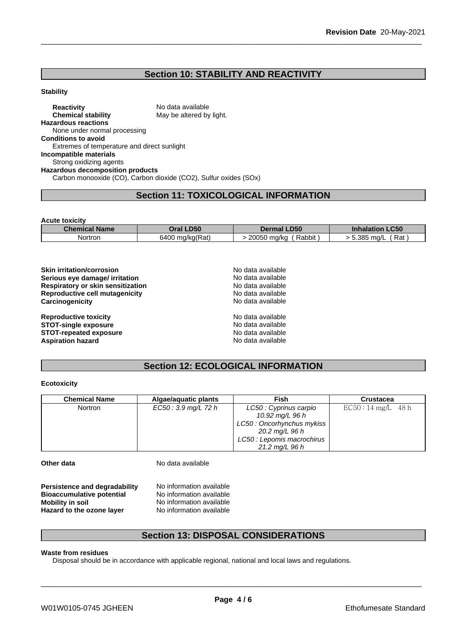# **Section 10: STABILITY AND REACTIVITY**

## **Stability**

**Reactivity** No data available **Chemical stability** May be altered by light. **Hazardous reactions** None under normal processing **Conditions to avoid** Extremes of temperature and direct sunlight **Incompatible materials** Strong oxidizing agents **Hazardous decomposition products** Carbon monooxide (CO), Carbon dioxide (CO2), Sulfur oxides (SOx)

# **Section 11: TOXICOLOGICAL INFORMATION**

| <b>Acute toxicity</b> |                 |                       |                        |
|-----------------------|-----------------|-----------------------|------------------------|
| <b>Chemical Name</b>  | Oral LD50       | <b>Dermal LD50</b>    | <b>Inhalation LC50</b> |
| Nortron               | 6400 mg/kg(Rat) | Rabbit<br>20050 mg/kg | Rat<br>5.385 mg/L      |

| <b>Skin irritation/corrosion</b>         | No data available |  |
|------------------------------------------|-------------------|--|
| Serious eye damage/ irritation           | No data available |  |
| <b>Respiratory or skin sensitization</b> | No data available |  |
| Reproductive cell mutagenicity           | No data available |  |
| Carcinogenicity                          | No data available |  |
| <b>Reproductive toxicity</b>             | No data available |  |
| <b>STOT-single exposure</b>              | No data available |  |
| <b>STOT-repeated exposure</b>            | No data available |  |
| <b>Aspiration hazard</b>                 | No data available |  |

# **Section 12: ECOLOGICAL INFORMATION**

# **Ecotoxicity**

| <b>Chemical Name</b> | Algae/aquatic plants | Fish                       | Crustacea           |
|----------------------|----------------------|----------------------------|---------------------|
| Nortron              | EC50 : 3.9 mg/L 72 h | LC50 : Cyprinus carpio     | $EC50:14~mg/L$ 48 h |
|                      |                      | 10.92 mg/L 96 h            |                     |
|                      |                      | LC50: Oncorhynchus mykiss  |                     |
|                      |                      | 20.2 mg/L 96 h             |                     |
|                      |                      | LC50 : Lepomis macrochirus |                     |
|                      |                      | 21.2 mg/L 96 h             |                     |

**Other data** No data available

**Persistence and degradability** No information available **Bioaccumulative potential** No information available **Mobility in soil**<br> **Hazard to the ozone laver** Mo information available **Hazard** to the ozone layer

# **Section 13: DISPOSAL CONSIDERATIONS**

# **Waste from residues**

Disposal should be in accordance with applicable regional, national and local laws and regulations.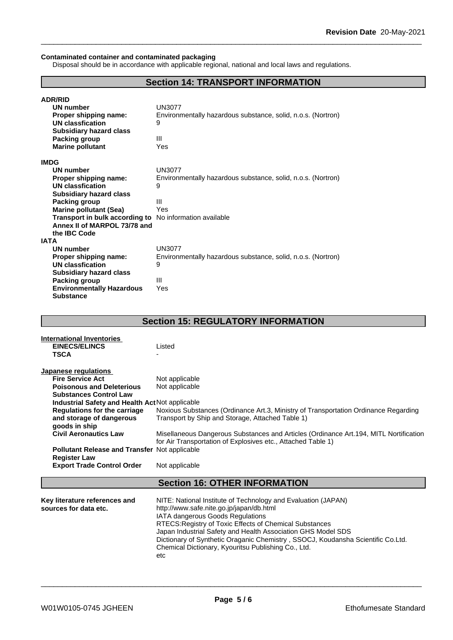# **Contaminated container and contaminated packaging**

Disposal should be in accordance with applicable regional, national and local laws and regulations.

# **Section 14: TRANSPORT INFORMATION**

| <b>ADR/RID</b>                                          |                                                              |
|---------------------------------------------------------|--------------------------------------------------------------|
| <b>UN number</b>                                        | UN3077                                                       |
| Proper shipping name:                                   | Environmentally hazardous substance, solid, n.o.s. (Nortron) |
| UN classfication                                        | 9                                                            |
| <b>Subsidiary hazard class</b>                          |                                                              |
| Packing group                                           | Ш                                                            |
| <b>Marine pollutant</b>                                 | Yes                                                          |
| <b>IMDG</b>                                             |                                                              |
| <b>UN number</b>                                        | <b>UN3077</b>                                                |
| Proper shipping name:                                   | Environmentally hazardous substance, solid, n.o.s. (Nortron) |
| UN classfication                                        | 9                                                            |
| <b>Subsidiary hazard class</b>                          |                                                              |
| Packing group                                           | Ш                                                            |
| <b>Marine pollutant (Sea)</b>                           | Yes                                                          |
| Transport in bulk according to No information available |                                                              |
| Annex II of MARPOL 73/78 and                            |                                                              |
| the IBC Code                                            |                                                              |
| <b>IATA</b>                                             |                                                              |
| UN number                                               | <b>UN3077</b>                                                |
| Proper shipping name:                                   | Environmentally hazardous substance, solid, n.o.s. (Nortron) |
| <b>UN classfication</b>                                 | 9                                                            |
| <b>Subsidiary hazard class</b>                          |                                                              |
| Packing group                                           | Ш                                                            |
| <b>Environmentally Hazardous</b>                        | Yes                                                          |
| <b>Substance</b>                                        |                                                              |

# **Section 15: REGULATORY INFORMATION**

| International Inventories                       |                                                                                        |
|-------------------------------------------------|----------------------------------------------------------------------------------------|
| <b>EINECS/ELINCS</b>                            | Listed                                                                                 |
| <b>TSCA</b>                                     |                                                                                        |
|                                                 |                                                                                        |
| Japanese regulations                            |                                                                                        |
| <b>Fire Service Act</b>                         | Not applicable                                                                         |
| <b>Poisonous and Deleterious</b>                | Not applicable                                                                         |
| <b>Substances Control Law</b>                   |                                                                                        |
| Industrial Safety and Health Act Not applicable |                                                                                        |
| <b>Regulations for the carriage</b>             | Noxious Substances (Ordinance Art.3, Ministry of Transportation Ordinance Regarding    |
| and storage of dangerous                        | Transport by Ship and Storage, Attached Table 1)                                       |
| goods in ship                                   |                                                                                        |
| <b>Civil Aeronautics Law</b>                    | Misellaneous Dangerous Substances and Articles (Ordinance Art. 194, MITL Nortification |
|                                                 | for Air Transportation of Explosives etc., Attached Table 1)                           |
| Pollutant Release and Transfer Not applicable   |                                                                                        |
| <b>Register Law</b>                             |                                                                                        |
| <b>Export Trade Control Order</b>               | Not applicable                                                                         |
|                                                 |                                                                                        |
|                                                 | <b>Section 16: OTHER INFORMATION</b>                                                   |
|                                                 |                                                                                        |

| Key literature references and | NITE: National Institute of Technology and Evaluation (JAPAN)                   |
|-------------------------------|---------------------------------------------------------------------------------|
| sources for data etc.         | http://www.safe.nite.go.jp/japan/db.html                                        |
|                               | <b>IATA dangerous Goods Regulations</b>                                         |
|                               | RTECS: Registry of Toxic Effects of Chemical Substances                         |
|                               | Japan Industrial Safety and Health Association GHS Model SDS                    |
|                               | Dictionary of Synthetic Oraganic Chemistry, SSOCJ, Koudansha Scientific Co.Ltd. |
|                               | Chemical Dictionary, Kyouritsu Publishing Co., Ltd.                             |
|                               | etc                                                                             |
|                               |                                                                                 |